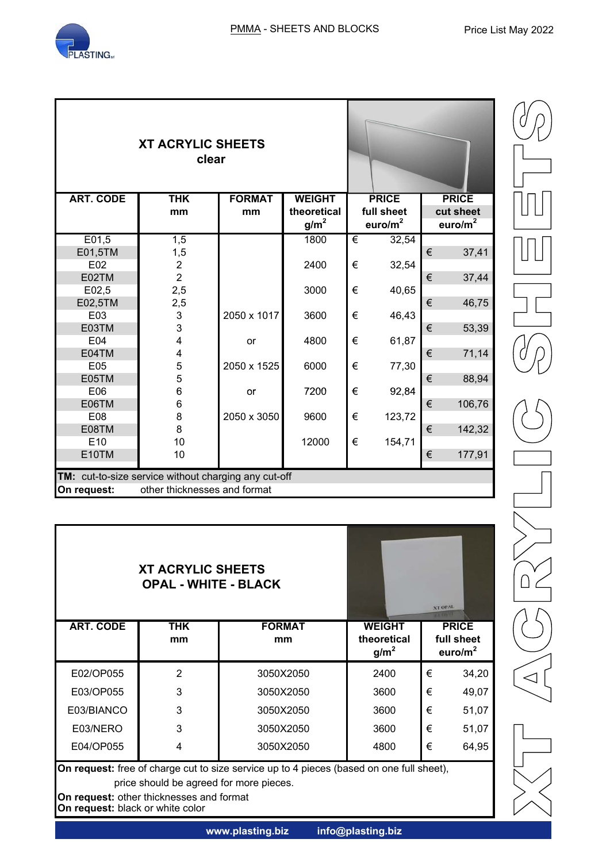

| <b>XT ACRYLIC SHEETS</b><br>clear                    |                |               |                  |   |              |              |        |
|------------------------------------------------------|----------------|---------------|------------------|---|--------------|--------------|--------|
| <b>ART. CODE</b>                                     | <b>THK</b>     | <b>FORMAT</b> | <b>WEIGHT</b>    |   | <b>PRICE</b> | <b>PRICE</b> |        |
|                                                      | mm             | mm            | theoretical      |   | full sheet   | cut sheet    |        |
|                                                      |                |               | g/m <sup>2</sup> |   | euro/ $m2$   | euro/ $m^2$  |        |
| E01,5                                                | 1,5            |               | 1800             | € | 32,54        |              |        |
| E01,5TM                                              | 1,5            |               |                  |   |              | €            | 37,41  |
| E02                                                  | $\overline{2}$ |               | 2400             | € | 32,54        |              |        |
| E02TM                                                | $\overline{2}$ |               |                  |   |              | €            | 37,44  |
| E02,5                                                | 2,5            |               | 3000             | € | 40,65        |              |        |
| E02,5TM                                              | 2,5            |               |                  |   |              | €            | 46,75  |
| E03                                                  | 3              | 2050 x 1017   | 3600             | € | 46,43        |              |        |
| E03TM                                                | 3              |               |                  |   |              | €            | 53,39  |
| E04                                                  | 4              | or            | 4800             | € | 61,87        |              |        |
| E04TM                                                | 4              |               |                  |   |              | €            | 71,14  |
| E05                                                  | 5              | 2050 x 1525   | 6000             | € | 77,30        |              |        |
| E05TM                                                | 5              |               |                  |   |              | €            | 88,94  |
| E06                                                  | 6              | or            | 7200             | € | 92,84        |              |        |
| E06TM                                                | 6              |               |                  |   |              | €            | 106,76 |
| E08                                                  | 8              | 2050 x 3050   | 9600             | € | 123,72       |              |        |
| E08TM                                                | 8              |               |                  |   |              | €            | 142,32 |
| E <sub>10</sub>                                      | 10             |               | 12000            | € | 154,71       |              |        |
| E10TM                                                | 10             |               |                  |   |              | €            | 177,91 |
| TM: cut-to-size service without charging any cut-off |                |               |                  |   |              |              |        |
| On request:<br>other thicknesses and format          |                |               |                  |   |              |              |        |

|                                                                                                                                                                                                                     | <b>XT ACRYLIC SHEETS</b><br><b>OPAL - WHITE - BLACK</b> |                     | <b>XT OPAL</b>                                   |                                          |       |  |  |
|---------------------------------------------------------------------------------------------------------------------------------------------------------------------------------------------------------------------|---------------------------------------------------------|---------------------|--------------------------------------------------|------------------------------------------|-------|--|--|
| <b>ART. CODE</b>                                                                                                                                                                                                    | <b>THK</b><br>mm                                        | <b>FORMAT</b><br>mm | <b>WEIGHT</b><br>theoretical<br>g/m <sup>2</sup> | <b>PRICE</b><br>full sheet<br>euro/ $m2$ |       |  |  |
| E02/OP055                                                                                                                                                                                                           | $\overline{2}$                                          | 3050X2050           | 2400                                             | €                                        | 34,20 |  |  |
| E03/OP055                                                                                                                                                                                                           | 3                                                       | 3050X2050           | 3600                                             | €                                        | 49,07 |  |  |
| E03/BIANCO                                                                                                                                                                                                          | 3                                                       | 3050X2050           | 3600                                             | €                                        | 51,07 |  |  |
| E03/NERO                                                                                                                                                                                                            | 3                                                       | 3050X2050           | 3600                                             | €                                        | 51,07 |  |  |
| E04/OP055                                                                                                                                                                                                           | 4                                                       | 3050X2050           | 4800                                             | €                                        | 64,95 |  |  |
| On request: free of charge cut to size service up to 4 pieces (based on one full sheet),<br>price should be agreed for more pieces.<br>On request: other thicknesses and format<br>On request: black or white color |                                                         |                     |                                                  |                                          |       |  |  |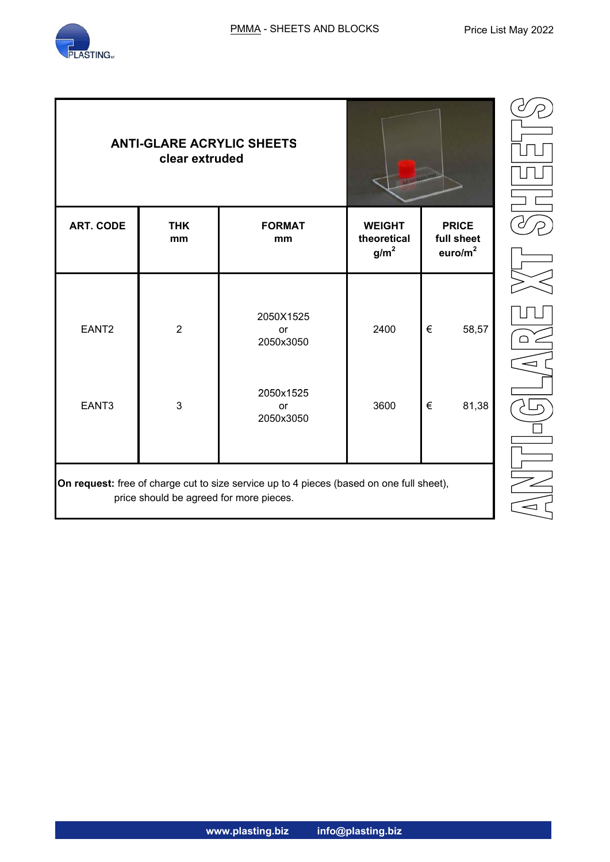

|                                                                                                                                     | <b>ANTI-GLARE ACRYLIC SHEETS</b><br>clear extruded |                                     | Υ<br>∐                                                                                                |            |                        |  |  |  |
|-------------------------------------------------------------------------------------------------------------------------------------|----------------------------------------------------|-------------------------------------|-------------------------------------------------------------------------------------------------------|------------|------------------------|--|--|--|
| <b>ART. CODE</b>                                                                                                                    | <b>THK</b><br>mm                                   | <b>FORMAT</b><br>mm                 | <b>PRICE</b><br><b>WEIGHT</b><br>full sheet<br>theoretical<br>euro/m <sup>2</sup><br>g/m <sup>2</sup> |            | $\overline{\partial}/$ |  |  |  |
| EANT <sub>2</sub>                                                                                                                   | $\overline{2}$                                     | 2050X1525<br>or<br>2050x3050        | 2400                                                                                                  | €<br>58,57 | $\bigcap$<br>Ξ         |  |  |  |
| EANT3                                                                                                                               | $\mathbf{3}$                                       | 2050x1525<br><b>or</b><br>2050x3050 | 3600                                                                                                  | €<br>81,38 |                        |  |  |  |
| On request: free of charge cut to size service up to 4 pieces (based on one full sheet),<br>price should be agreed for more pieces. |                                                    |                                     |                                                                                                       |            |                        |  |  |  |